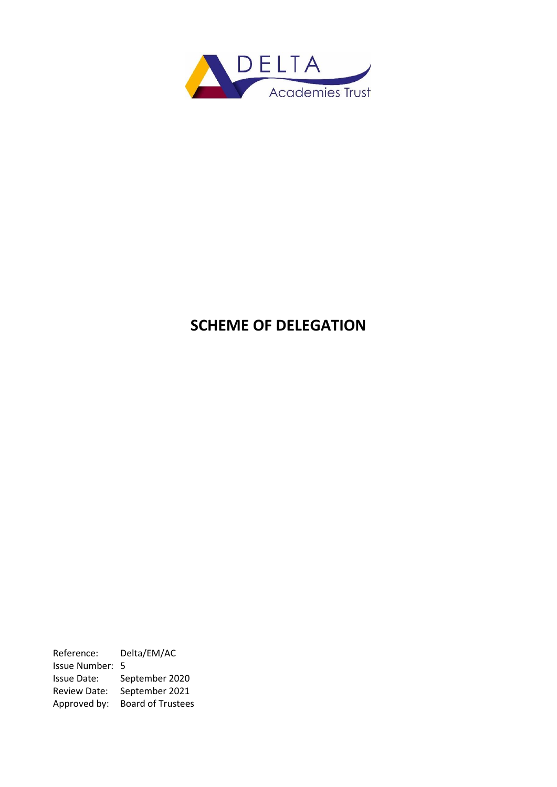

# **SCHEME OF DELEGATION**

Reference: Delta/EM/AC Issue Number: 5 Issue Date: September 2020 Review Date: September 2021 Approved by: Board of Trustees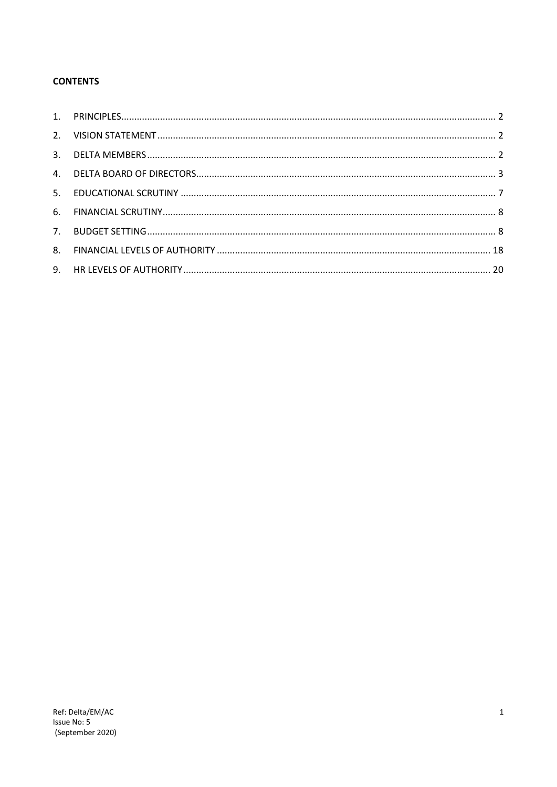# **CONTENTS**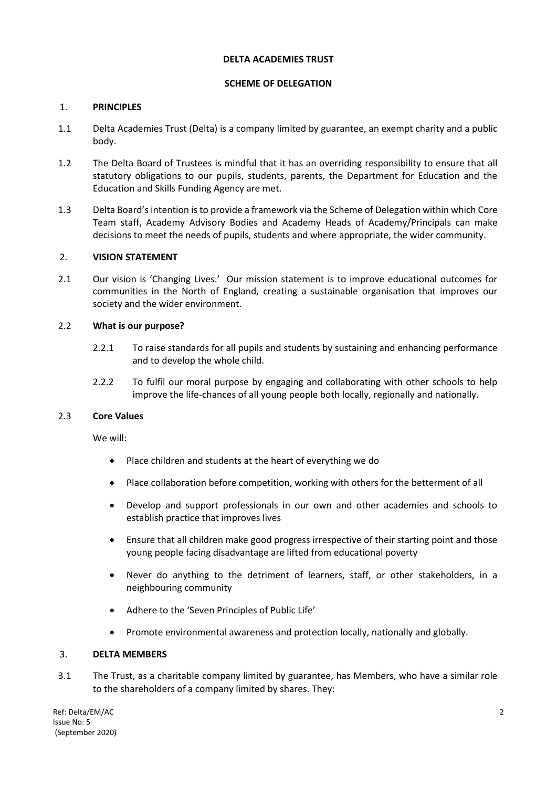#### **DELTA ACADEMIES TRUST**

#### **SCHEME OF DELEGATION**

#### <span id="page-2-0"></span>1. **PRINCIPLES**

- 1.1 Delta Academies Trust (Delta) is a company limited by guarantee, an exempt charity and a public body.
- 1.2 The Delta Board of Trustees is mindful that it has an overriding responsibility to ensure that all statutory obligations to our pupils, students, parents, the Department for Education and the Education and Skills Funding Agency are met.
- 1.3 Delta Board's intention is to provide a framework via the Scheme of Delegation within which Core Team staff, Academy Advisory Bodies and Academy Heads of Academy/Principals can make decisions to meet the needs of pupils, students and where appropriate, the wider community.

#### <span id="page-2-1"></span>2. **VISION STATEMENT**

2.1 Our vision is 'Changing Lives.' Our mission statement is to improve educational outcomes for communities in the North of England, creating a sustainable organisation that improves our society and the wider environment.

#### 2.2 **What is our purpose?**

- 2.2.1 To raise standards for all pupils and students by sustaining and enhancing performance and to develop the whole child.
- 2.2.2 To fulfil our moral purpose by engaging and collaborating with other schools to help improve the life-chances of all young people both locally, regionally and nationally.

#### 2.3 **Core Values**

We will:

- Place children and students at the heart of everything we do
- Place collaboration before competition, working with others for the betterment of all
- Develop and support professionals in our own and other academies and schools to establish practice that improves lives
- Ensure that all children make good progress irrespective of their starting point and those young people facing disadvantage are lifted from educational poverty
- Never do anything to the detriment of learners, staff, or other stakeholders, in a neighbouring community
- Adhere to the 'Seven Principles of Public Life'
- Promote environmental awareness and protection locally, nationally and globally.

#### <span id="page-2-2"></span>3. **DELTA MEMBERS**

3.1 The Trust, as a charitable company limited by guarantee, has Members, who have a similar role to the shareholders of a company limited by shares. They:

Ref: Delta/EM/AC 2 Issue No: 5 (September 2020)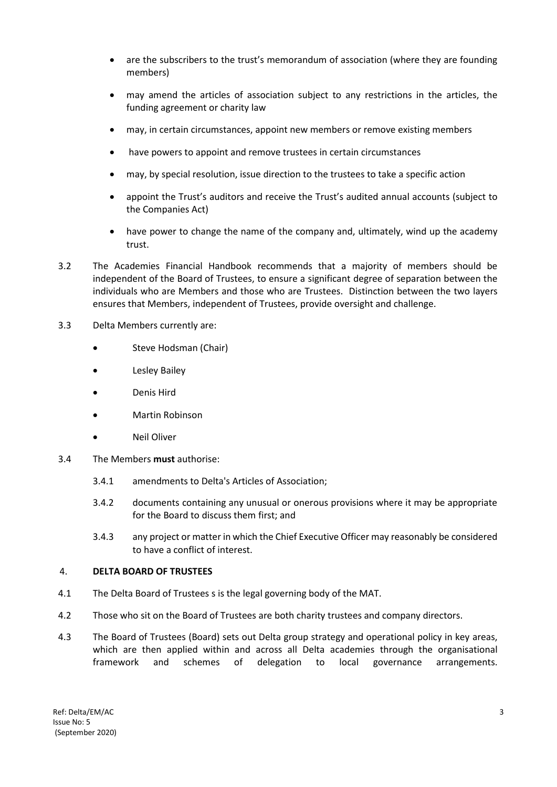- are the subscribers to the trust's memorandum of association (where they are founding members)
- may amend the articles of association subject to any restrictions in the articles, the funding agreement or charity law
- may, in certain circumstances, appoint new members or remove existing members
- have powers to appoint and remove trustees in certain circumstances
- may, by special resolution, issue direction to the trustees to take a specific action
- appoint the Trust's auditors and receive the Trust's audited annual accounts (subject to the Companies Act)
- have power to change the name of the company and, ultimately, wind up the academy trust.
- 3.2 The Academies Financial Handbook recommends that a majority of members should be independent of the Board of Trustees, to ensure a significant degree of separation between the individuals who are Members and those who are Trustees. Distinction between the two layers ensures that Members, independent of Trustees, provide oversight and challenge.
- 3.3 Delta Members currently are:
	- Steve Hodsman (Chair)
	- Lesley Bailey
	- Denis Hird
	- Martin Robinson
	- Neil Oliver
- 3.4 The Members **must** authorise:
	- 3.4.1 amendments to Delta's Articles of Association;
	- 3.4.2 documents containing any unusual or onerous provisions where it may be appropriate for the Board to discuss them first; and
	- 3.4.3 any project or matter in which the Chief Executive Officer may reasonably be considered to have a conflict of interest.

#### <span id="page-3-0"></span>4. **DELTA BOARD OF TRUSTEES**

- 4.1 The Delta Board of Trustees s is the legal governing body of the MAT.
- 4.2 Those who sit on the Board of Trustees are both charity trustees and company directors.
- 4.3 The Board of Trustees (Board) sets out Delta group strategy and operational policy in key areas, which are then applied within and across all Delta academies through the organisational framework and schemes of delegation to local governance arrangements.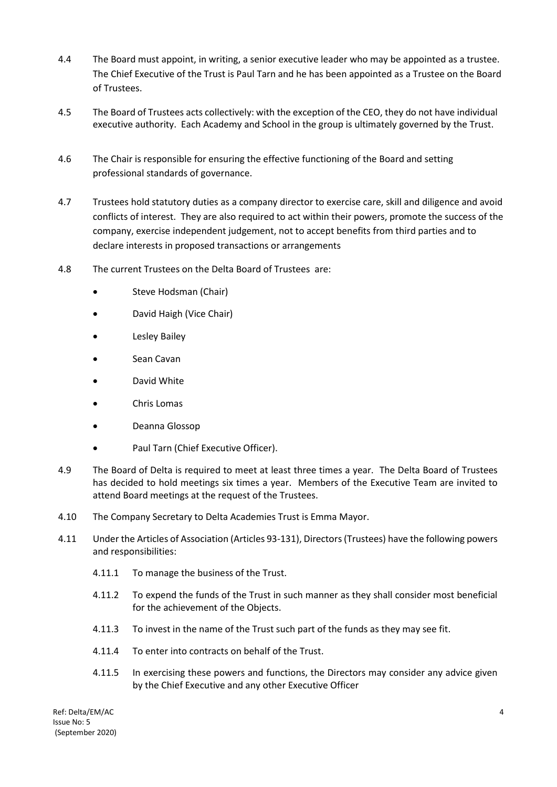- 4.4 The Board must appoint, in writing, a senior executive leader who may be appointed as a trustee. The Chief Executive of the Trust is Paul Tarn and he has been appointed as a Trustee on the Board of Trustees.
- 4.5 The Board of Trustees acts collectively: with the exception of the CEO, they do not have individual executive authority. Each Academy and School in the group is ultimately governed by the Trust.
- 4.6 The Chair is responsible for ensuring the effective functioning of the Board and setting professional standards of governance.
- 4.7 Trustees hold statutory duties as a company director to exercise care, skill and diligence and avoid conflicts of interest. They are also required to act within their powers, promote the success of the company, exercise independent judgement, not to accept benefits from third parties and to declare interests in proposed transactions or arrangements
- 4.8 The current Trustees on the Delta Board of Trustees are:
	- Steve Hodsman (Chair)
	- David Haigh (Vice Chair)
	- Lesley Bailey
	- Sean Cavan
	- David White
	- Chris Lomas
	- Deanna Glossop
	- Paul Tarn (Chief Executive Officer).
- 4.9 The Board of Delta is required to meet at least three times a year. The Delta Board of Trustees has decided to hold meetings six times a year. Members of the Executive Team are invited to attend Board meetings at the request of the Trustees.
- 4.10 The Company Secretary to Delta Academies Trust is Emma Mayor.
- 4.11 Under the Articles of Association (Articles 93-131), Directors (Trustees) have the following powers and responsibilities:
	- 4.11.1 To manage the business of the Trust.
	- 4.11.2 To expend the funds of the Trust in such manner as they shall consider most beneficial for the achievement of the Objects.
	- 4.11.3 To invest in the name of the Trust such part of the funds as they may see fit.
	- 4.11.4 To enter into contracts on behalf of the Trust.
	- 4.11.5 In exercising these powers and functions, the Directors may consider any advice given by the Chief Executive and any other Executive Officer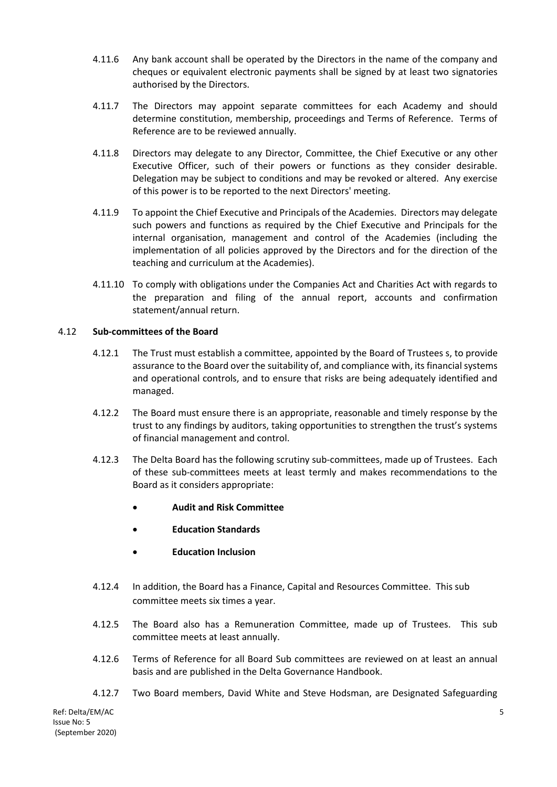- 4.11.6 Any bank account shall be operated by the Directors in the name of the company and cheques or equivalent electronic payments shall be signed by at least two signatories authorised by the Directors.
- 4.11.7 The Directors may appoint separate committees for each Academy and should determine constitution, membership, proceedings and Terms of Reference. Terms of Reference are to be reviewed annually.
- 4.11.8 Directors may delegate to any Director, Committee, the Chief Executive or any other Executive Officer, such of their powers or functions as they consider desirable. Delegation may be subject to conditions and may be revoked or altered. Any exercise of this power is to be reported to the next Directors' meeting.
- 4.11.9 To appoint the Chief Executive and Principals of the Academies. Directors may delegate such powers and functions as required by the Chief Executive and Principals for the internal organisation, management and control of the Academies (including the implementation of all policies approved by the Directors and for the direction of the teaching and curriculum at the Academies).
- 4.11.10 To comply with obligations under the Companies Act and Charities Act with regards to the preparation and filing of the annual report, accounts and confirmation statement/annual return.

#### 4.12 **Sub-committees of the Board**

- 4.12.1 The Trust must establish a committee, appointed by the Board of Trustees s, to provide assurance to the Board over the suitability of, and compliance with, its financial systems and operational controls, and to ensure that risks are being adequately identified and managed.
- 4.12.2 The Board must ensure there is an appropriate, reasonable and timely response by the trust to any findings by auditors, taking opportunities to strengthen the trust's systems of financial management and control.
- 4.12.3 The Delta Board has the following scrutiny sub-committees, made up of Trustees. Each of these sub-committees meets at least termly and makes recommendations to the Board as it considers appropriate:
	- **Audit and Risk Committee**
	- **Education Standards**
	- **Education Inclusion**
- 4.12.4 In addition, the Board has a Finance, Capital and Resources Committee. This sub committee meets six times a year.
- 4.12.5 The Board also has a Remuneration Committee, made up of Trustees. This sub committee meets at least annually.
- 4.12.6 Terms of Reference for all Board Sub committees are reviewed on at least an annual basis and are published in the Delta Governance Handbook.
- 4.12.7 Two Board members, David White and Steve Hodsman, are Designated Safeguarding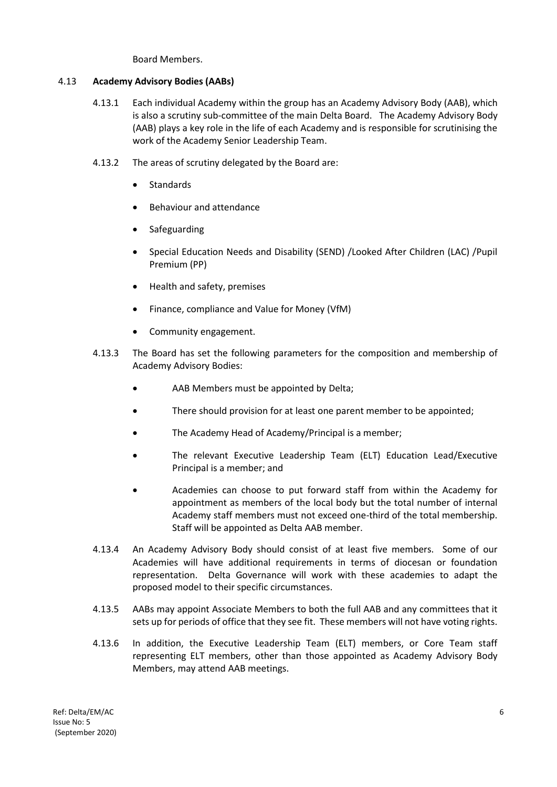Board Members.

## 4.13 **Academy Advisory Bodies (AABs)**

- 4.13.1 Each individual Academy within the group has an Academy Advisory Body (AAB), which is also a scrutiny sub-committee of the main Delta Board. The Academy Advisory Body (AAB) plays a key role in the life of each Academy and is responsible for scrutinising the work of the Academy Senior Leadership Team.
- 4.13.2 The areas of scrutiny delegated by the Board are:
	- Standards
	- Behaviour and attendance
	- Safeguarding
	- Special Education Needs and Disability (SEND) /Looked After Children (LAC) /Pupil Premium (PP)
	- Health and safety, premises
	- Finance, compliance and Value for Money (VfM)
	- Community engagement.
- 4.13.3 The Board has set the following parameters for the composition and membership of Academy Advisory Bodies:
	- AAB Members must be appointed by Delta;
	- There should provision for at least one parent member to be appointed;
	- The Academy Head of Academy/Principal is a member;
	- The relevant Executive Leadership Team (ELT) Education Lead/Executive Principal is a member; and
	- Academies can choose to put forward staff from within the Academy for appointment as members of the local body but the total number of internal Academy staff members must not exceed one-third of the total membership. Staff will be appointed as Delta AAB member.
- 4.13.4 An Academy Advisory Body should consist of at least five members. Some of our Academies will have additional requirements in terms of diocesan or foundation representation. Delta Governance will work with these academies to adapt the proposed model to their specific circumstances.
- 4.13.5 AABs may appoint Associate Members to both the full AAB and any committees that it sets up for periods of office that they see fit. These members will not have voting rights.
- 4.13.6 In addition, the Executive Leadership Team (ELT) members, or Core Team staff representing ELT members, other than those appointed as Academy Advisory Body Members, may attend AAB meetings.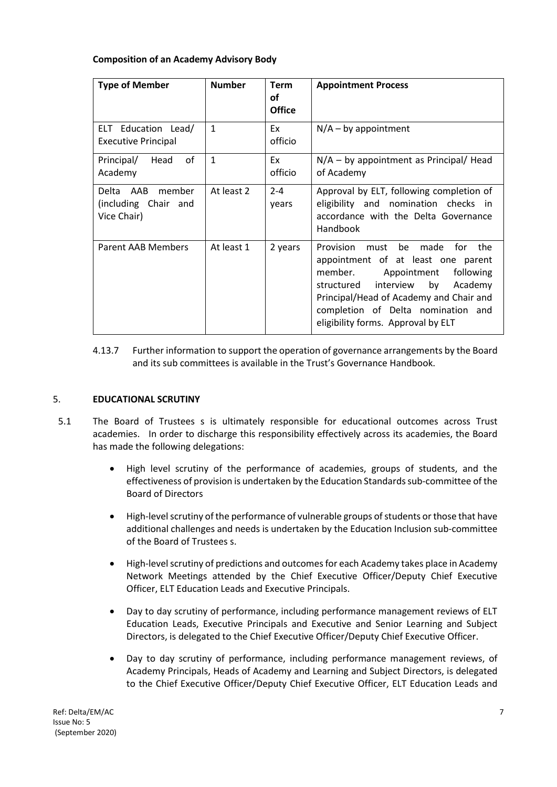# **Composition of an Academy Advisory Body**

| <b>Type of Member</b>                                      | <b>Number</b> | <b>Term</b><br>οf<br><b>Office</b> | <b>Appointment Process</b>                                                                                                                                                                                                                                                              |
|------------------------------------------------------------|---------------|------------------------------------|-----------------------------------------------------------------------------------------------------------------------------------------------------------------------------------------------------------------------------------------------------------------------------------------|
| ELT Education Lead/<br><b>Executive Principal</b>          | $\mathbf{1}$  | Ex<br>officio                      | $N/A - by$ appointment                                                                                                                                                                                                                                                                  |
| οf<br>Principal/<br>Head<br>Academy                        | $\mathbf{1}$  | Ex<br>officio                      | $N/A - by$ appointment as Principal/ Head<br>of Academy                                                                                                                                                                                                                                 |
| Delta AAB<br>member<br>(including Chair and<br>Vice Chair) | At least 2    | $2 - 4$<br>years                   | Approval by ELT, following completion of<br>eligibility and nomination checks in<br>accordance with the Delta Governance<br>Handbook                                                                                                                                                    |
| Parent AAB Members                                         | At least 1    | 2 years                            | Provision<br>must be<br>made<br>for<br>the<br>appointment of at least one parent<br>member.<br>Appointment<br>following<br>structured interview<br>by<br>Academy<br>Principal/Head of Academy and Chair and<br>completion of Delta nomination and<br>eligibility forms. Approval by ELT |

4.13.7 Further information to support the operation of governance arrangements by the Board and its sub committees is available in the Trust's Governance Handbook.

#### <span id="page-7-0"></span>5. **EDUCATIONAL SCRUTINY**

- 5.1 The Board of Trustees s is ultimately responsible for educational outcomes across Trust academies. In order to discharge this responsibility effectively across its academies, the Board has made the following delegations:
	- High level scrutiny of the performance of academies, groups of students, and the effectiveness of provision is undertaken by the Education Standards sub-committee of the Board of Directors
	- High-levelscrutiny of the performance of vulnerable groups of students or those that have additional challenges and needs is undertaken by the Education Inclusion sub-committee of the Board of Trustees s.
	- High-level scrutiny of predictions and outcomes for each Academy takes place in Academy Network Meetings attended by the Chief Executive Officer/Deputy Chief Executive Officer, ELT Education Leads and Executive Principals.
	- Day to day scrutiny of performance, including performance management reviews of ELT Education Leads, Executive Principals and Executive and Senior Learning and Subject Directors, is delegated to the Chief Executive Officer/Deputy Chief Executive Officer.
	- Day to day scrutiny of performance, including performance management reviews, of Academy Principals, Heads of Academy and Learning and Subject Directors, is delegated to the Chief Executive Officer/Deputy Chief Executive Officer, ELT Education Leads and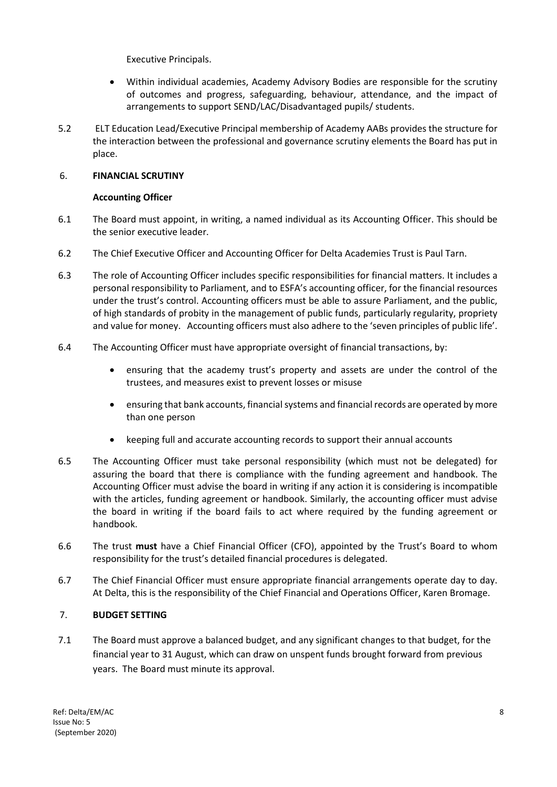Executive Principals.

- Within individual academies, Academy Advisory Bodies are responsible for the scrutiny of outcomes and progress, safeguarding, behaviour, attendance, and the impact of arrangements to support SEND/LAC/Disadvantaged pupils/ students.
- 5.2 ELT Education Lead/Executive Principal membership of Academy AABs provides the structure for the interaction between the professional and governance scrutiny elements the Board has put in place.

# <span id="page-8-0"></span>6. **FINANCIAL SCRUTINY**

# **Accounting Officer**

- 6.1 The Board must appoint, in writing, a named individual as its Accounting Officer. This should be the senior executive leader.
- 6.2 The Chief Executive Officer and Accounting Officer for Delta Academies Trust is Paul Tarn.
- 6.3 The role of Accounting Officer includes specific responsibilities for financial matters. It includes a personal responsibility to Parliament, and to ESFA's accounting officer, for the financial resources under the trust's control. Accounting officers must be able to assure Parliament, and the public, of high standards of probity in the management of public funds, particularly regularity, propriety and value for money. Accounting officers must also adhere to the 'seven principles of public life'.
- 6.4 The Accounting Officer must have appropriate oversight of financial transactions, by:
	- ensuring that the academy trust's property and assets are under the control of the trustees, and measures exist to prevent losses or misuse
	- ensuring that bank accounts, financial systems and financial records are operated by more than one person
	- keeping full and accurate accounting records to support their annual accounts
- 6.5 The Accounting Officer must take personal responsibility (which must not be delegated) for assuring the board that there is compliance with the funding agreement and handbook. The Accounting Officer must advise the board in writing if any action it is considering is incompatible with the articles, funding agreement or handbook. Similarly, the accounting officer must advise the board in writing if the board fails to act where required by the funding agreement or handbook.
- 6.6 The trust **must** have a Chief Financial Officer (CFO), appointed by the Trust's Board to whom responsibility for the trust's detailed financial procedures is delegated.
- 6.7 The Chief Financial Officer must ensure appropriate financial arrangements operate day to day. At Delta, this is the responsibility of the Chief Financial and Operations Officer, Karen Bromage.

# <span id="page-8-1"></span>7. **BUDGET SETTING**

7.1 The Board must approve a balanced budget, and any significant changes to that budget, for the financial year to 31 August, which can draw on unspent funds brought forward from previous years. The Board must minute its approval.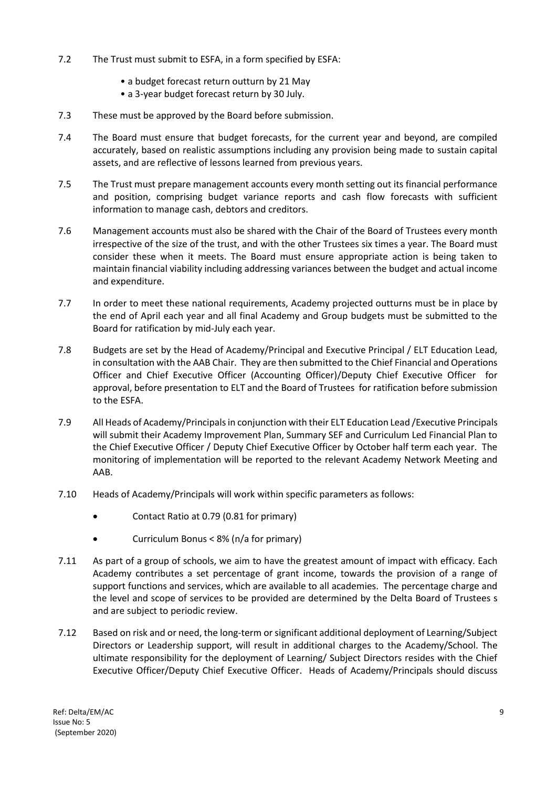- 7.2 The Trust must submit to ESFA, in a form specified by ESFA:
	- a budget forecast return outturn by 21 May
	- a 3-year budget forecast return by 30 July.
- 7.3 These must be approved by the Board before submission.
- 7.4 The Board must ensure that budget forecasts, for the current year and beyond, are compiled accurately, based on realistic assumptions including any provision being made to sustain capital assets, and are reflective of lessons learned from previous years.
- 7.5 The Trust must prepare management accounts every month setting out its financial performance and position, comprising budget variance reports and cash flow forecasts with sufficient information to manage cash, debtors and creditors.
- 7.6 Management accounts must also be shared with the Chair of the Board of Trustees every month irrespective of the size of the trust, and with the other Trustees six times a year. The Board must consider these when it meets. The Board must ensure appropriate action is being taken to maintain financial viability including addressing variances between the budget and actual income and expenditure.
- 7.7 In order to meet these national requirements, Academy projected outturns must be in place by the end of April each year and all final Academy and Group budgets must be submitted to the Board for ratification by mid-July each year.
- 7.8 Budgets are set by the Head of Academy/Principal and Executive Principal / ELT Education Lead, in consultation with the AAB Chair. They are then submitted to the Chief Financial and Operations Officer and Chief Executive Officer (Accounting Officer)/Deputy Chief Executive Officer for approval, before presentation to ELT and the Board of Trustees for ratification before submission to the ESFA.
- 7.9 All Heads of Academy/Principalsin conjunction with their ELT Education Lead /Executive Principals will submit their Academy Improvement Plan, Summary SEF and Curriculum Led Financial Plan to the Chief Executive Officer / Deputy Chief Executive Officer by October half term each year. The monitoring of implementation will be reported to the relevant Academy Network Meeting and AAB.
- 7.10 Heads of Academy/Principals will work within specific parameters as follows:
	- Contact Ratio at 0.79 (0.81 for primary)
	- Curriculum Bonus < 8% (n/a for primary)
- 7.11 As part of a group of schools, we aim to have the greatest amount of impact with efficacy. Each Academy contributes a set percentage of grant income, towards the provision of a range of support functions and services, which are available to all academies. The percentage charge and the level and scope of services to be provided are determined by the Delta Board of Trustees s and are subject to periodic review.
- 7.12 Based on risk and or need, the long-term or significant additional deployment of Learning/Subject Directors or Leadership support, will result in additional charges to the Academy/School. The ultimate responsibility for the deployment of Learning/ Subject Directors resides with the Chief Executive Officer/Deputy Chief Executive Officer. Heads of Academy/Principals should discuss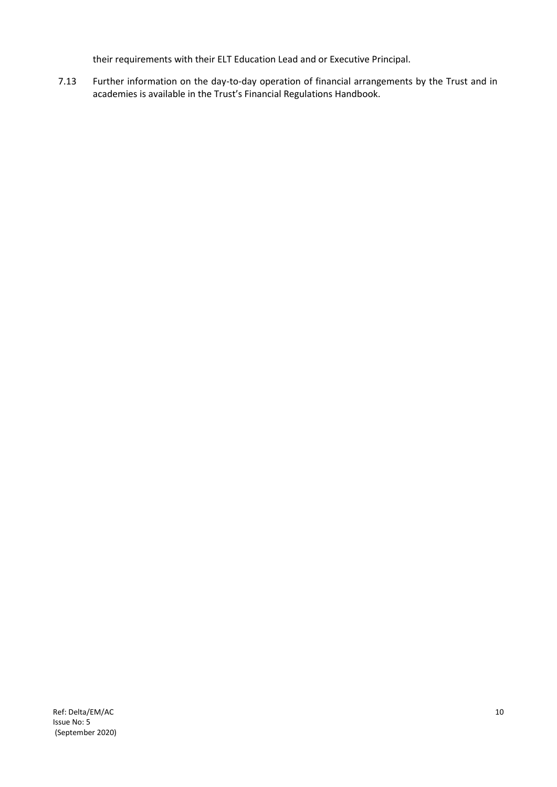their requirements with their ELT Education Lead and or Executive Principal.

7.13 Further information on the day-to-day operation of financial arrangements by the Trust and in academies is available in the Trust's Financial Regulations Handbook.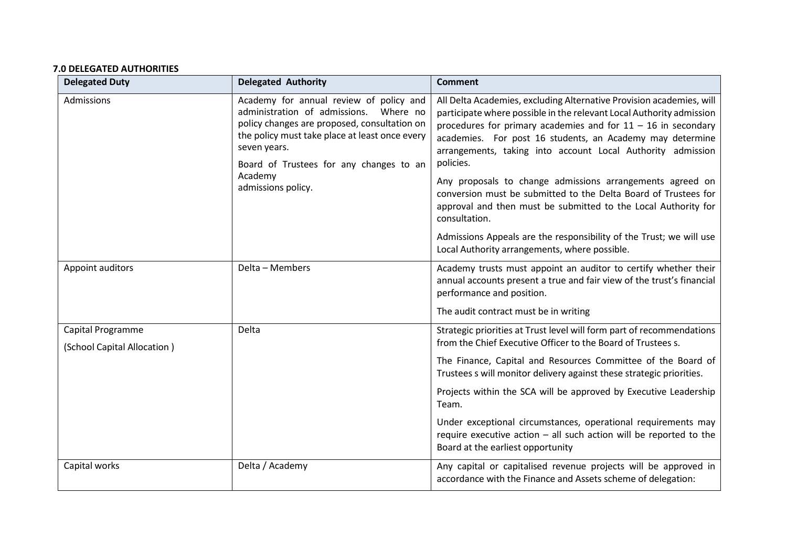# **7.0 DELEGATED AUTHORITIES**

| <b>Delegated Duty</b>       | <b>Delegated Authority</b>                                                                                                                                                                                                                                                      | <b>Comment</b>                                                                                                                                                                                                                                                                                                                                                                                                                                                                                                                                                              |  |
|-----------------------------|---------------------------------------------------------------------------------------------------------------------------------------------------------------------------------------------------------------------------------------------------------------------------------|-----------------------------------------------------------------------------------------------------------------------------------------------------------------------------------------------------------------------------------------------------------------------------------------------------------------------------------------------------------------------------------------------------------------------------------------------------------------------------------------------------------------------------------------------------------------------------|--|
| Admissions                  | Academy for annual review of policy and<br>administration of admissions. Where no<br>policy changes are proposed, consultation on<br>the policy must take place at least once every<br>seven years.<br>Board of Trustees for any changes to an<br>Academy<br>admissions policy. | All Delta Academies, excluding Alternative Provision academies, will<br>participate where possible in the relevant Local Authority admission<br>procedures for primary academies and for $11 - 16$ in secondary<br>academies. For post 16 students, an Academy may determine<br>arrangements, taking into account Local Authority admission<br>policies.<br>Any proposals to change admissions arrangements agreed on<br>conversion must be submitted to the Delta Board of Trustees for<br>approval and then must be submitted to the Local Authority for<br>consultation. |  |
|                             |                                                                                                                                                                                                                                                                                 | Admissions Appeals are the responsibility of the Trust; we will use<br>Local Authority arrangements, where possible.                                                                                                                                                                                                                                                                                                                                                                                                                                                        |  |
| Appoint auditors            | Delta - Members                                                                                                                                                                                                                                                                 | Academy trusts must appoint an auditor to certify whether their<br>annual accounts present a true and fair view of the trust's financial<br>performance and position.<br>The audit contract must be in writing                                                                                                                                                                                                                                                                                                                                                              |  |
| Capital Programme           | Delta                                                                                                                                                                                                                                                                           | Strategic priorities at Trust level will form part of recommendations                                                                                                                                                                                                                                                                                                                                                                                                                                                                                                       |  |
| (School Capital Allocation) |                                                                                                                                                                                                                                                                                 | from the Chief Executive Officer to the Board of Trustees s.                                                                                                                                                                                                                                                                                                                                                                                                                                                                                                                |  |
|                             |                                                                                                                                                                                                                                                                                 | The Finance, Capital and Resources Committee of the Board of<br>Trustees s will monitor delivery against these strategic priorities.                                                                                                                                                                                                                                                                                                                                                                                                                                        |  |
|                             |                                                                                                                                                                                                                                                                                 | Projects within the SCA will be approved by Executive Leadership<br>Team.                                                                                                                                                                                                                                                                                                                                                                                                                                                                                                   |  |
|                             |                                                                                                                                                                                                                                                                                 | Under exceptional circumstances, operational requirements may<br>require executive action $-$ all such action will be reported to the<br>Board at the earliest opportunity                                                                                                                                                                                                                                                                                                                                                                                                  |  |
| Capital works               | Delta / Academy                                                                                                                                                                                                                                                                 | Any capital or capitalised revenue projects will be approved in<br>accordance with the Finance and Assets scheme of delegation:                                                                                                                                                                                                                                                                                                                                                                                                                                             |  |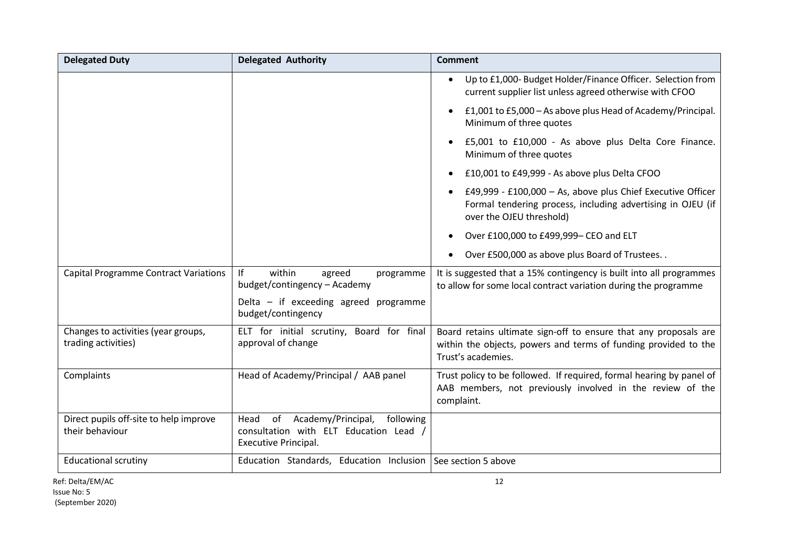| <b>Delegated Duty</b>                                      | <b>Delegated Authority</b>                                                                                             | <b>Comment</b>                                                                                                                                            |
|------------------------------------------------------------|------------------------------------------------------------------------------------------------------------------------|-----------------------------------------------------------------------------------------------------------------------------------------------------------|
|                                                            |                                                                                                                        | Up to £1,000- Budget Holder/Finance Officer. Selection from<br>current supplier list unless agreed otherwise with CFOO                                    |
|                                                            |                                                                                                                        | £1,001 to £5,000 – As above plus Head of Academy/Principal.<br>$\bullet$<br>Minimum of three quotes                                                       |
|                                                            |                                                                                                                        | £5,001 to £10,000 - As above plus Delta Core Finance.<br>Minimum of three quotes                                                                          |
|                                                            |                                                                                                                        | £10,001 to £49,999 - As above plus Delta CFOO                                                                                                             |
|                                                            |                                                                                                                        | £49,999 - £100,000 - As, above plus Chief Executive Officer<br>Formal tendering process, including advertising in OJEU (if<br>over the OJEU threshold)    |
|                                                            |                                                                                                                        | Over £100,000 to £499,999- CEO and ELT<br>$\bullet$                                                                                                       |
|                                                            |                                                                                                                        | Over £500,000 as above plus Board of Trustees                                                                                                             |
| <b>Capital Programme Contract Variations</b>               | within<br>lf<br>agreed<br>programme<br>budget/contingency - Academy                                                    | It is suggested that a 15% contingency is built into all programmes<br>to allow for some local contract variation during the programme                    |
|                                                            | Delta - if exceeding agreed programme<br>budget/contingency                                                            |                                                                                                                                                           |
| Changes to activities (year groups,<br>trading activities) | ELT for initial scrutiny, Board for final<br>approval of change                                                        | Board retains ultimate sign-off to ensure that any proposals are<br>within the objects, powers and terms of funding provided to the<br>Trust's academies. |
| Complaints                                                 | Head of Academy/Principal / AAB panel                                                                                  | Trust policy to be followed. If required, formal hearing by panel of<br>AAB members, not previously involved in the review of the<br>complaint.           |
| Direct pupils off-site to help improve<br>their behaviour  | Academy/Principal,<br>Head<br>of<br>following<br>consultation with ELT Education Lead /<br><b>Executive Principal.</b> |                                                                                                                                                           |
| <b>Educational scrutiny</b>                                | Education Standards, Education Inclusion See section 5 above                                                           |                                                                                                                                                           |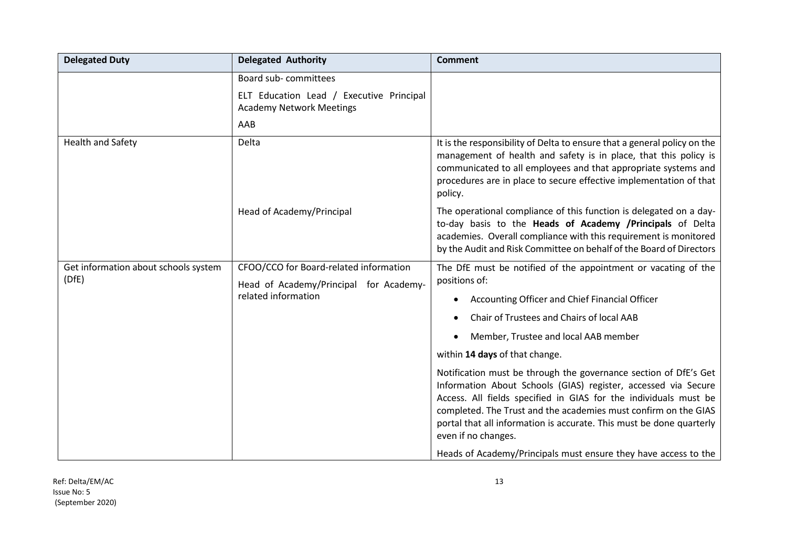| <b>Delegated Duty</b>                         | <b>Delegated Authority</b>                                                                              | <b>Comment</b>                                                                                                                                                                                                                                                                                                                                                                                                                              |
|-----------------------------------------------|---------------------------------------------------------------------------------------------------------|---------------------------------------------------------------------------------------------------------------------------------------------------------------------------------------------------------------------------------------------------------------------------------------------------------------------------------------------------------------------------------------------------------------------------------------------|
|                                               | Board sub-committees                                                                                    |                                                                                                                                                                                                                                                                                                                                                                                                                                             |
|                                               | ELT Education Lead / Executive Principal<br><b>Academy Network Meetings</b>                             |                                                                                                                                                                                                                                                                                                                                                                                                                                             |
|                                               | AAB                                                                                                     |                                                                                                                                                                                                                                                                                                                                                                                                                                             |
| Health and Safety                             | Delta                                                                                                   | It is the responsibility of Delta to ensure that a general policy on the<br>management of health and safety is in place, that this policy is<br>communicated to all employees and that appropriate systems and<br>procedures are in place to secure effective implementation of that<br>policy.                                                                                                                                             |
|                                               | Head of Academy/Principal                                                                               | The operational compliance of this function is delegated on a day-<br>to-day basis to the Heads of Academy /Principals of Delta<br>academies. Overall compliance with this requirement is monitored<br>by the Audit and Risk Committee on behalf of the Board of Directors                                                                                                                                                                  |
| Get information about schools system<br>(DfE) | CFOO/CCO for Board-related information<br>Head of Academy/Principal for Academy-<br>related information | The DfE must be notified of the appointment or vacating of the<br>positions of:                                                                                                                                                                                                                                                                                                                                                             |
|                                               |                                                                                                         | Accounting Officer and Chief Financial Officer                                                                                                                                                                                                                                                                                                                                                                                              |
|                                               |                                                                                                         | Chair of Trustees and Chairs of local AAB                                                                                                                                                                                                                                                                                                                                                                                                   |
|                                               |                                                                                                         | Member, Trustee and local AAB member                                                                                                                                                                                                                                                                                                                                                                                                        |
|                                               |                                                                                                         | within 14 days of that change.                                                                                                                                                                                                                                                                                                                                                                                                              |
|                                               |                                                                                                         | Notification must be through the governance section of DfE's Get<br>Information About Schools (GIAS) register, accessed via Secure<br>Access. All fields specified in GIAS for the individuals must be<br>completed. The Trust and the academies must confirm on the GIAS<br>portal that all information is accurate. This must be done quarterly<br>even if no changes.<br>Heads of Academy/Principals must ensure they have access to the |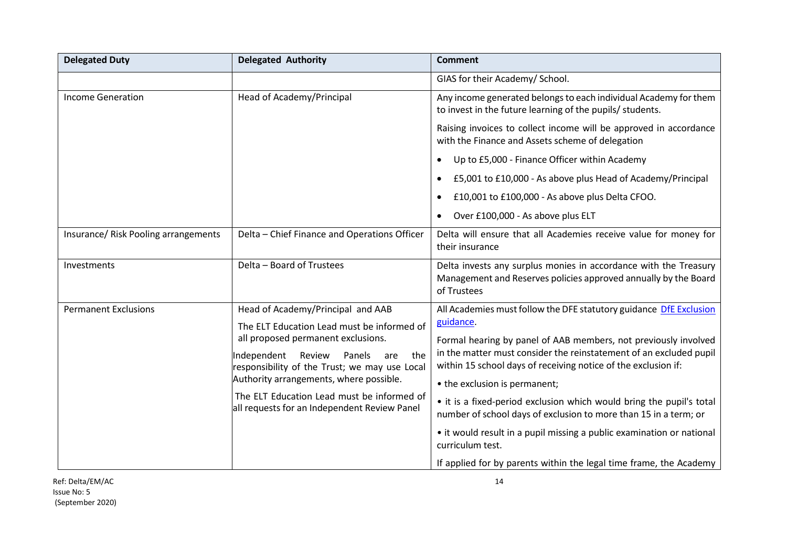| <b>Delegated Duty</b><br><b>Delegated Authority</b> |                                                                                                                                                                                                                                                                                                                                                                  | <b>Comment</b>                                                                                                                                                                                                                                                                                                                                                                                                                                                                                                                                                                                                                             |  |
|-----------------------------------------------------|------------------------------------------------------------------------------------------------------------------------------------------------------------------------------------------------------------------------------------------------------------------------------------------------------------------------------------------------------------------|--------------------------------------------------------------------------------------------------------------------------------------------------------------------------------------------------------------------------------------------------------------------------------------------------------------------------------------------------------------------------------------------------------------------------------------------------------------------------------------------------------------------------------------------------------------------------------------------------------------------------------------------|--|
|                                                     |                                                                                                                                                                                                                                                                                                                                                                  | GIAS for their Academy/ School.                                                                                                                                                                                                                                                                                                                                                                                                                                                                                                                                                                                                            |  |
| <b>Income Generation</b>                            | Head of Academy/Principal                                                                                                                                                                                                                                                                                                                                        | Any income generated belongs to each individual Academy for them<br>to invest in the future learning of the pupils/ students.                                                                                                                                                                                                                                                                                                                                                                                                                                                                                                              |  |
|                                                     |                                                                                                                                                                                                                                                                                                                                                                  | Raising invoices to collect income will be approved in accordance<br>with the Finance and Assets scheme of delegation                                                                                                                                                                                                                                                                                                                                                                                                                                                                                                                      |  |
|                                                     |                                                                                                                                                                                                                                                                                                                                                                  | Up to £5,000 - Finance Officer within Academy                                                                                                                                                                                                                                                                                                                                                                                                                                                                                                                                                                                              |  |
|                                                     |                                                                                                                                                                                                                                                                                                                                                                  | £5,001 to £10,000 - As above plus Head of Academy/Principal                                                                                                                                                                                                                                                                                                                                                                                                                                                                                                                                                                                |  |
|                                                     |                                                                                                                                                                                                                                                                                                                                                                  | £10,001 to £100,000 - As above plus Delta CFOO.                                                                                                                                                                                                                                                                                                                                                                                                                                                                                                                                                                                            |  |
|                                                     |                                                                                                                                                                                                                                                                                                                                                                  | Over £100,000 - As above plus ELT                                                                                                                                                                                                                                                                                                                                                                                                                                                                                                                                                                                                          |  |
| Insurance/ Risk Pooling arrangements                | Delta - Chief Finance and Operations Officer                                                                                                                                                                                                                                                                                                                     | Delta will ensure that all Academies receive value for money for<br>their insurance                                                                                                                                                                                                                                                                                                                                                                                                                                                                                                                                                        |  |
| Investments                                         | Delta - Board of Trustees                                                                                                                                                                                                                                                                                                                                        | Delta invests any surplus monies in accordance with the Treasury<br>Management and Reserves policies approved annually by the Board<br>of Trustees                                                                                                                                                                                                                                                                                                                                                                                                                                                                                         |  |
| <b>Permanent Exclusions</b>                         | Head of Academy/Principal and AAB<br>The ELT Education Lead must be informed of<br>all proposed permanent exclusions.<br>Independent<br>Review<br>Panels<br>the<br>are<br>responsibility of the Trust; we may use Local<br>Authority arrangements, where possible.<br>The ELT Education Lead must be informed of<br>all requests for an Independent Review Panel | All Academies must follow the DFE statutory guidance DfE Exclusion<br>guidance.<br>Formal hearing by panel of AAB members, not previously involved<br>in the matter must consider the reinstatement of an excluded pupil<br>within 15 school days of receiving notice of the exclusion if:<br>• the exclusion is permanent;<br>• it is a fixed-period exclusion which would bring the pupil's total<br>number of school days of exclusion to more than 15 in a term; or<br>• it would result in a pupil missing a public examination or national<br>curriculum test.<br>If applied for by parents within the legal time frame, the Academy |  |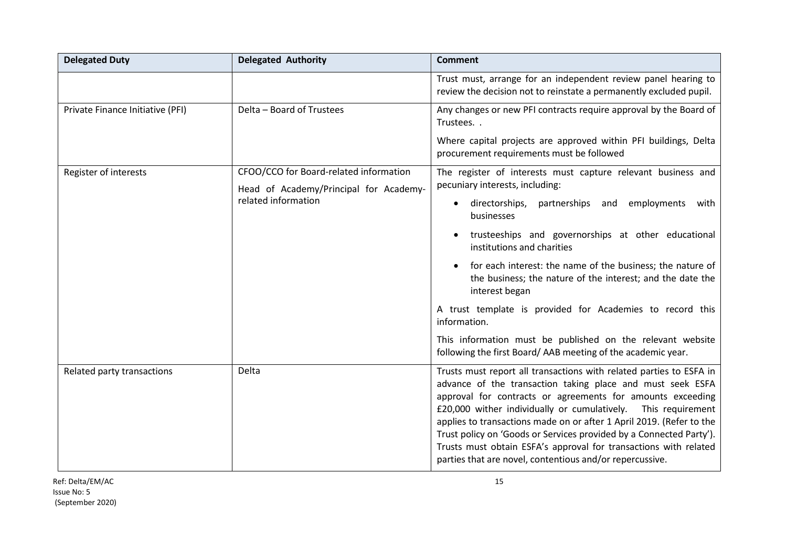| <b>Delegated Duty</b>                                                                                     | <b>Delegated Authority</b> | <b>Comment</b>                                                                                                                                                                                                                                                                                                                                                                                                                                                                                                                                  |
|-----------------------------------------------------------------------------------------------------------|----------------------------|-------------------------------------------------------------------------------------------------------------------------------------------------------------------------------------------------------------------------------------------------------------------------------------------------------------------------------------------------------------------------------------------------------------------------------------------------------------------------------------------------------------------------------------------------|
|                                                                                                           |                            | Trust must, arrange for an independent review panel hearing to<br>review the decision not to reinstate a permanently excluded pupil.                                                                                                                                                                                                                                                                                                                                                                                                            |
| Private Finance Initiative (PFI)                                                                          | Delta - Board of Trustees  | Any changes or new PFI contracts require approval by the Board of<br>Trustees. .                                                                                                                                                                                                                                                                                                                                                                                                                                                                |
|                                                                                                           |                            | Where capital projects are approved within PFI buildings, Delta<br>procurement requirements must be followed                                                                                                                                                                                                                                                                                                                                                                                                                                    |
| CFOO/CCO for Board-related information<br>Register of interests<br>Head of Academy/Principal for Academy- |                            | The register of interests must capture relevant business and<br>pecuniary interests, including:                                                                                                                                                                                                                                                                                                                                                                                                                                                 |
|                                                                                                           | related information        | directorships, partnerships and employments<br>with<br>businesses                                                                                                                                                                                                                                                                                                                                                                                                                                                                               |
|                                                                                                           |                            | trusteeships and governorships at other educational<br>institutions and charities                                                                                                                                                                                                                                                                                                                                                                                                                                                               |
|                                                                                                           |                            | for each interest: the name of the business; the nature of<br>the business; the nature of the interest; and the date the<br>interest began                                                                                                                                                                                                                                                                                                                                                                                                      |
|                                                                                                           |                            | A trust template is provided for Academies to record this<br>information.                                                                                                                                                                                                                                                                                                                                                                                                                                                                       |
|                                                                                                           |                            | This information must be published on the relevant website<br>following the first Board/AAB meeting of the academic year.                                                                                                                                                                                                                                                                                                                                                                                                                       |
| Related party transactions                                                                                | Delta                      | Trusts must report all transactions with related parties to ESFA in<br>advance of the transaction taking place and must seek ESFA<br>approval for contracts or agreements for amounts exceeding<br>£20,000 wither individually or cumulatively. This requirement<br>applies to transactions made on or after 1 April 2019. (Refer to the<br>Trust policy on 'Goods or Services provided by a Connected Party').<br>Trusts must obtain ESFA's approval for transactions with related<br>parties that are novel, contentious and/or repercussive. |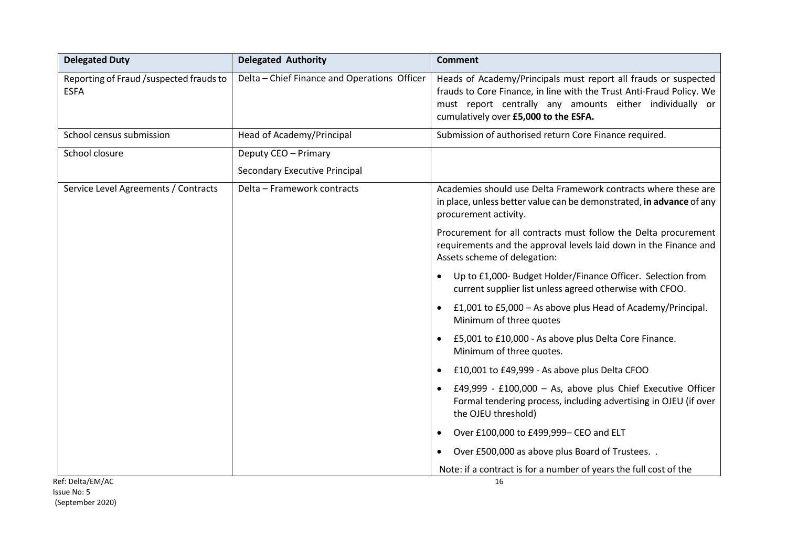| <b>Delegated Duty</b>                                  | <b>Delegated Authority</b>                   | <b>Comment</b>                                                                                                                                                                                                                               |
|--------------------------------------------------------|----------------------------------------------|----------------------------------------------------------------------------------------------------------------------------------------------------------------------------------------------------------------------------------------------|
| Reporting of Fraud /suspected frauds to<br><b>ESFA</b> | Delta - Chief Finance and Operations Officer | Heads of Academy/Principals must report all frauds or suspected<br>frauds to Core Finance, in line with the Trust Anti-Fraud Policy. We<br>must report centrally any amounts either individually or<br>cumulatively over £5,000 to the ESFA. |
| School census submission                               | Head of Academy/Principal                    | Submission of authorised return Core Finance required.                                                                                                                                                                                       |
| School closure                                         | Deputy CEO - Primary                         |                                                                                                                                                                                                                                              |
|                                                        | Secondary Executive Principal                |                                                                                                                                                                                                                                              |
| Service Level Agreements / Contracts                   | Delta - Framework contracts                  | Academies should use Delta Framework contracts where these are<br>in place, unless better value can be demonstrated, in advance of any<br>procurement activity.                                                                              |
|                                                        |                                              | Procurement for all contracts must follow the Delta procurement<br>requirements and the approval levels laid down in the Finance and<br>Assets scheme of delegation:                                                                         |
|                                                        |                                              | Up to £1,000- Budget Holder/Finance Officer. Selection from<br>current supplier list unless agreed otherwise with CFOO.                                                                                                                      |
|                                                        |                                              | £1,001 to £5,000 - As above plus Head of Academy/Principal.<br>Minimum of three quotes                                                                                                                                                       |
|                                                        |                                              | £5,001 to £10,000 - As above plus Delta Core Finance.<br>Minimum of three quotes.                                                                                                                                                            |
|                                                        |                                              | £10,001 to £49,999 - As above plus Delta CFOO<br>$\bullet$                                                                                                                                                                                   |
|                                                        |                                              | £49,999 - £100,000 - As, above plus Chief Executive Officer<br>Formal tendering process, including advertising in OJEU (if over<br>the OJEU threshold)                                                                                       |
|                                                        |                                              | Over £100,000 to £499,999- CEO and ELT                                                                                                                                                                                                       |
|                                                        |                                              | Over £500,000 as above plus Board of Trustees. .<br>$\bullet$                                                                                                                                                                                |
|                                                        |                                              | Note: if a contract is for a number of years the full cost of the                                                                                                                                                                            |
| Ref: Delta/EM/AC<br>Issue No: 5                        |                                              | 16                                                                                                                                                                                                                                           |

(September 2020)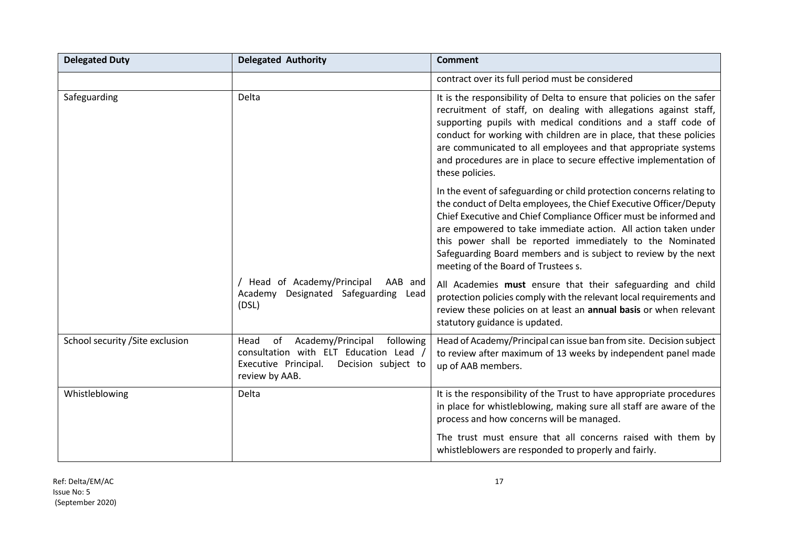| <b>Delegated Duty</b>            | <b>Delegated Authority</b>                                                                                                                              | <b>Comment</b>                                                                                                                                                                                                                                                                                                                                                                                                                                            |  |
|----------------------------------|---------------------------------------------------------------------------------------------------------------------------------------------------------|-----------------------------------------------------------------------------------------------------------------------------------------------------------------------------------------------------------------------------------------------------------------------------------------------------------------------------------------------------------------------------------------------------------------------------------------------------------|--|
|                                  |                                                                                                                                                         | contract over its full period must be considered                                                                                                                                                                                                                                                                                                                                                                                                          |  |
| Safeguarding                     | Delta                                                                                                                                                   | It is the responsibility of Delta to ensure that policies on the safer<br>recruitment of staff, on dealing with allegations against staff,<br>supporting pupils with medical conditions and a staff code of<br>conduct for working with children are in place, that these policies<br>are communicated to all employees and that appropriate systems<br>and procedures are in place to secure effective implementation of<br>these policies.              |  |
|                                  |                                                                                                                                                         | In the event of safeguarding or child protection concerns relating to<br>the conduct of Delta employees, the Chief Executive Officer/Deputy<br>Chief Executive and Chief Compliance Officer must be informed and<br>are empowered to take immediate action. All action taken under<br>this power shall be reported immediately to the Nominated<br>Safeguarding Board members and is subject to review by the next<br>meeting of the Board of Trustees s. |  |
|                                  | Head of Academy/Principal<br>AAB and<br>Academy Designated Safeguarding Lead<br>(DSL)                                                                   | All Academies must ensure that their safeguarding and child<br>protection policies comply with the relevant local requirements and<br>review these policies on at least an annual basis or when relevant<br>statutory guidance is updated.                                                                                                                                                                                                                |  |
| School security / Site exclusion | Academy/Principal<br>Head<br>of<br>following<br>consultation with ELT Education Lead /<br>Executive Principal.<br>Decision subject to<br>review by AAB. | Head of Academy/Principal can issue ban from site. Decision subject<br>to review after maximum of 13 weeks by independent panel made<br>up of AAB members.                                                                                                                                                                                                                                                                                                |  |
| Whistleblowing                   | Delta                                                                                                                                                   | It is the responsibility of the Trust to have appropriate procedures<br>in place for whistleblowing, making sure all staff are aware of the<br>process and how concerns will be managed.                                                                                                                                                                                                                                                                  |  |
|                                  |                                                                                                                                                         | The trust must ensure that all concerns raised with them by<br>whistleblowers are responded to properly and fairly.                                                                                                                                                                                                                                                                                                                                       |  |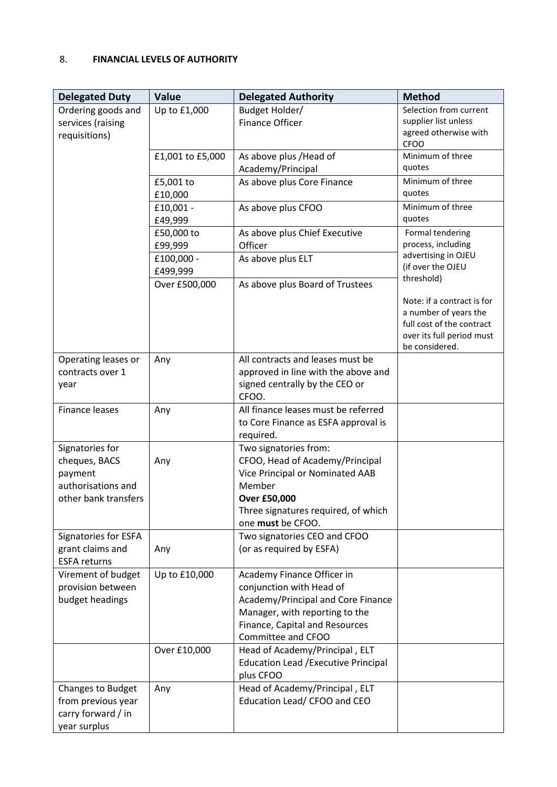# <span id="page-18-0"></span>8. **FINANCIAL LEVELS OF AUTHORITY**

| <b>Delegated Duty</b>                      | Value            | <b>Delegated Authority</b>                           | <b>Method</b>                               |
|--------------------------------------------|------------------|------------------------------------------------------|---------------------------------------------|
| Ordering goods and                         | Up to £1,000     | Budget Holder/                                       | Selection from current                      |
| services (raising                          |                  | <b>Finance Officer</b>                               | supplier list unless                        |
| requisitions)                              |                  |                                                      | agreed otherwise with                       |
|                                            | £1,001 to £5,000 | As above plus / Head of                              | <b>CFOO</b><br>Minimum of three             |
|                                            |                  | Academy/Principal                                    | quotes                                      |
|                                            | £5,001 to        | As above plus Core Finance                           | Minimum of three                            |
|                                            | £10,000          |                                                      | quotes                                      |
|                                            | £10,001 -        | As above plus CFOO                                   | Minimum of three                            |
|                                            | £49,999          |                                                      | quotes                                      |
|                                            | £50,000 to       | As above plus Chief Executive                        | Formal tendering                            |
|                                            | £99,999          | Officer                                              | process, including                          |
|                                            | £100,000 -       | As above plus ELT                                    | advertising in OJEU                         |
|                                            | £499,999         |                                                      | (if over the OJEU<br>threshold)             |
|                                            | Over £500,000    | As above plus Board of Trustees                      |                                             |
|                                            |                  |                                                      | Note: if a contract is for                  |
|                                            |                  |                                                      | a number of years the                       |
|                                            |                  |                                                      | full cost of the contract                   |
|                                            |                  |                                                      | over its full period must<br>be considered. |
| Operating leases or                        | Any              | All contracts and leases must be                     |                                             |
| contracts over 1                           |                  | approved in line with the above and                  |                                             |
| year                                       |                  | signed centrally by the CEO or                       |                                             |
|                                            |                  | CFOO.                                                |                                             |
| Finance leases                             | Any              | All finance leases must be referred                  |                                             |
|                                            |                  | to Core Finance as ESFA approval is                  |                                             |
|                                            |                  | required.                                            |                                             |
| Signatories for                            |                  | Two signatories from:                                |                                             |
| cheques, BACS                              | Any              | CFOO, Head of Academy/Principal                      |                                             |
| payment                                    |                  | Vice Principal or Nominated AAB                      |                                             |
| authorisations and<br>other bank transfers |                  | Member<br><b>Over £50,000</b>                        |                                             |
|                                            |                  | Three signatures required, of which                  |                                             |
|                                            |                  | one must be CFOO.                                    |                                             |
| Signatories for ESFA                       |                  | Two signatories CEO and CFOO                         |                                             |
| grant claims and                           | Any              | (or as required by ESFA)                             |                                             |
| <b>ESFA returns</b>                        |                  |                                                      |                                             |
| Virement of budget                         | Up to £10,000    | Academy Finance Officer in                           |                                             |
| provision between                          |                  | conjunction with Head of                             |                                             |
| budget headings                            |                  | Academy/Principal and Core Finance                   |                                             |
|                                            |                  | Manager, with reporting to the                       |                                             |
|                                            |                  | Finance, Capital and Resources                       |                                             |
|                                            | Over £10,000     | Committee and CFOO<br>Head of Academy/Principal, ELT |                                             |
|                                            |                  | <b>Education Lead / Executive Principal</b>          |                                             |
|                                            |                  | plus CFOO                                            |                                             |
| Changes to Budget                          | Any              | Head of Academy/Principal, ELT                       |                                             |
| from previous year                         |                  | Education Lead/ CFOO and CEO                         |                                             |
| carry forward / in                         |                  |                                                      |                                             |
| year surplus                               |                  |                                                      |                                             |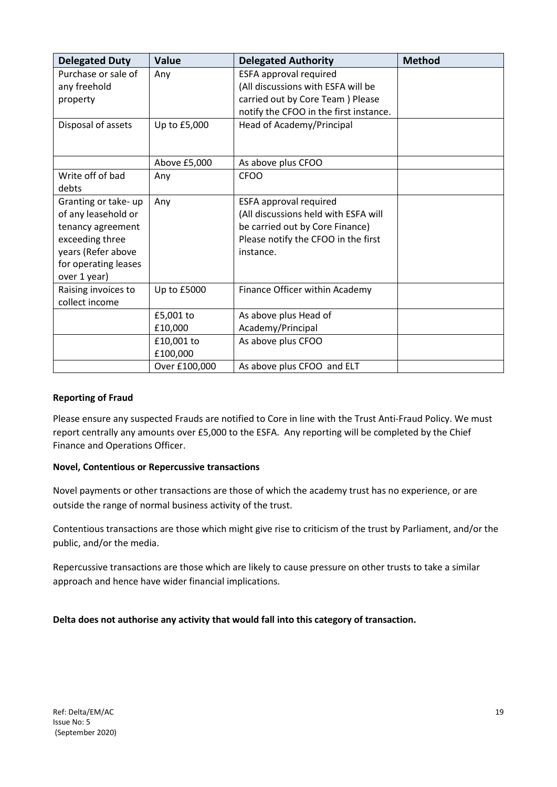| <b>Delegated Duty</b> | Value         | <b>Delegated Authority</b>             | <b>Method</b> |
|-----------------------|---------------|----------------------------------------|---------------|
| Purchase or sale of   | Any           | <b>ESFA approval required</b>          |               |
| any freehold          |               | (All discussions with ESFA will be     |               |
| property              |               | carried out by Core Team ) Please      |               |
|                       |               | notify the CFOO in the first instance. |               |
| Disposal of assets    | Up to £5,000  | Head of Academy/Principal              |               |
|                       |               |                                        |               |
|                       | Above £5,000  | As above plus CFOO                     |               |
| Write off of bad      | Any           | <b>CFOO</b>                            |               |
| debts                 |               |                                        |               |
| Granting or take- up  | Any           | ESFA approval required                 |               |
| of any leasehold or   |               | (All discussions held with ESFA will   |               |
| tenancy agreement     |               | be carried out by Core Finance)        |               |
| exceeding three       |               | Please notify the CFOO in the first    |               |
| years (Refer above    |               | instance.                              |               |
| for operating leases  |               |                                        |               |
| over 1 year)          |               |                                        |               |
| Raising invoices to   | Up to £5000   | Finance Officer within Academy         |               |
| collect income        |               |                                        |               |
|                       | £5,001 to     | As above plus Head of                  |               |
|                       | £10,000       | Academy/Principal                      |               |
|                       | £10,001 to    | As above plus CFOO                     |               |
|                       | £100,000      |                                        |               |
|                       | Over £100,000 | As above plus CFOO and ELT             |               |

## **Reporting of Fraud**

Please ensure any suspected Frauds are notified to Core in line with the Trust Anti-Fraud Policy. We must report centrally any amounts over £5,000 to the ESFA. Any reporting will be completed by the Chief Finance and Operations Officer.

#### **Novel, Contentious or Repercussive transactions**

Novel payments or other transactions are those of which the academy trust has no experience, or are outside the range of normal business activity of the trust.

Contentious transactions are those which might give rise to criticism of the trust by Parliament, and/or the public, and/or the media.

Repercussive transactions are those which are likely to cause pressure on other trusts to take a similar approach and hence have wider financial implications.

# **Delta does not authorise any activity that would fall into this category of transaction.**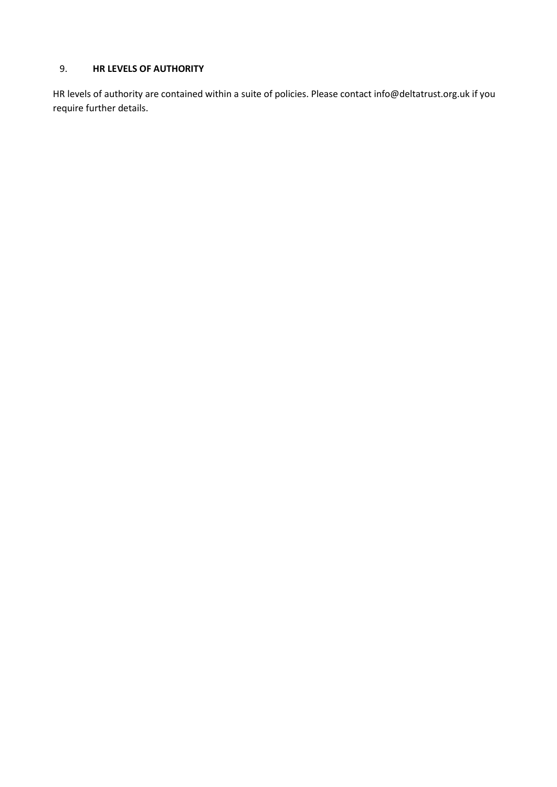# <span id="page-20-0"></span>9. **HR LEVELS OF AUTHORITY**

HR levels of authority are contained within a suite of policies. Please contact info@deltatrust.org.uk if you require further details.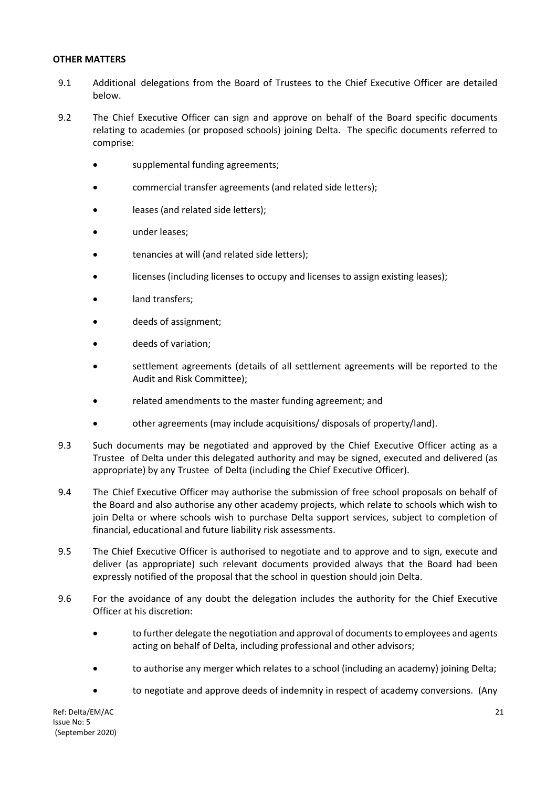#### **OTHER MATTERS**

- 9.1 Additional delegations from the Board of Trustees to the Chief Executive Officer are detailed below.
- 9.2 The Chief Executive Officer can sign and approve on behalf of the Board specific documents relating to academies (or proposed schools) joining Delta. The specific documents referred to comprise:
	- supplemental funding agreements;
	- commercial transfer agreements (and related side letters);
	- leases (and related side letters);
	- under leases;
	- tenancies at will (and related side letters);
	- licenses (including licenses to occupy and licenses to assign existing leases);
	- land transfers;
	- deeds of assignment;
	- deeds of variation;
	- settlement agreements (details of all settlement agreements will be reported to the Audit and Risk Committee);
	- related amendments to the master funding agreement; and
	- other agreements (may include acquisitions/ disposals of property/land).
- 9.3 Such documents may be negotiated and approved by the Chief Executive Officer acting as a Trustee of Delta under this delegated authority and may be signed, executed and delivered (as appropriate) by any Trustee of Delta (including the Chief Executive Officer).
- 9.4 The Chief Executive Officer may authorise the submission of free school proposals on behalf of the Board and also authorise any other academy projects, which relate to schools which wish to join Delta or where schools wish to purchase Delta support services, subject to completion of financial, educational and future liability risk assessments.
- 9.5 The Chief Executive Officer is authorised to negotiate and to approve and to sign, execute and deliver (as appropriate) such relevant documents provided always that the Board had been expressly notified of the proposal that the school in question should join Delta.
- 9.6 For the avoidance of any doubt the delegation includes the authority for the Chief Executive Officer at his discretion:
	- to further delegate the negotiation and approval of documents to employees and agents acting on behalf of Delta, including professional and other advisors;
	- to authorise any merger which relates to a school (including an academy) joining Delta;
	- to negotiate and approve deeds of indemnity in respect of academy conversions. (Any

Ref: Delta/EM/AC 21 Issue No: 5 (September 2020)